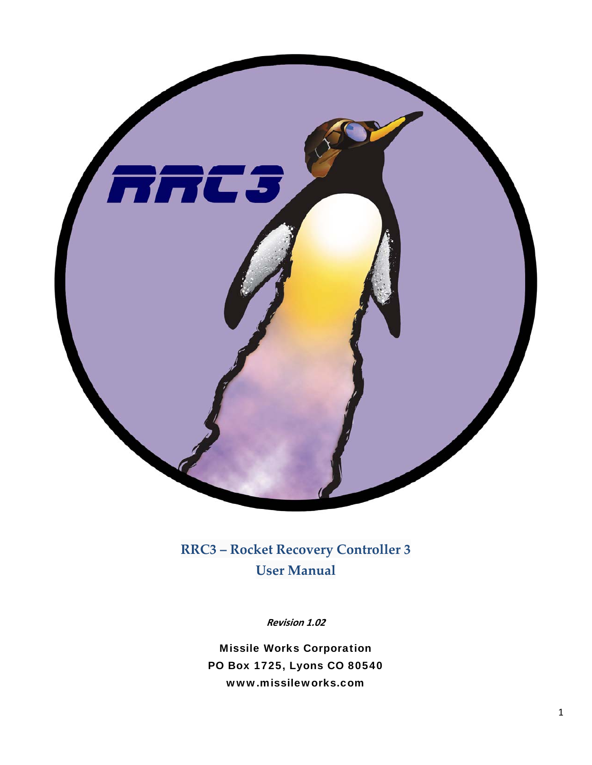

# **RRC3 – Rocket Recovery Controller 3 User Manual**

**Revision 1.02**

Missile Works Corporation PO Box 1725, Lyons CO 80540 www.missileworks.com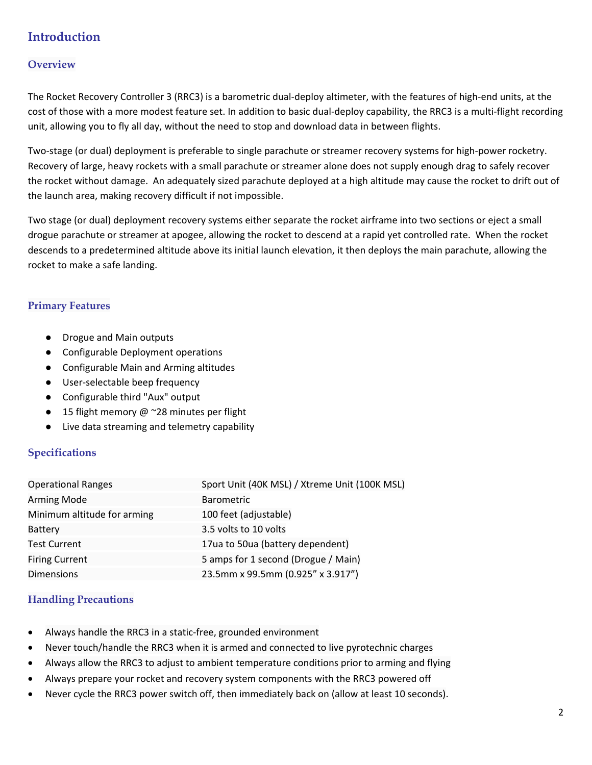# **Introduction**

## **Overview**

The Rocket Recovery Controller 3 (RRC3) is a barometric dual‐deploy altimeter, with the features of high‐end units, at the cost of those with a more modest feature set. In addition to basic dual‐deploy capability, the RRC3 is a multi‐flight recording unit, allowing you to fly all day, without the need to stop and download data in between flights.

Two-stage (or dual) deployment is preferable to single parachute or streamer recovery systems for high-power rocketry. Recovery of large, heavy rockets with a small parachute or streamer alone does not supply enough drag to safely recover the rocket without damage. An adequately sized parachute deployed at a high altitude may cause the rocket to drift out of the launch area, making recovery difficult if not impossible.

Two stage (or dual) deployment recovery systems either separate the rocket airframe into two sections or eject a small drogue parachute or streamer at apogee, allowing the rocket to descend at a rapid yet controlled rate. When the rocket descends to a predetermined altitude above its initial launch elevation, it then deploys the main parachute, allowing the rocket to make a safe landing.

## **Primary Features**

- Drogue and Main outputs
- Configurable Deployment operations
- Configurable Main and Arming altitudes
- User-selectable beep frequency
- Configurable third "Aux" output
- 15 flight memory  $@$  ~28 minutes per flight
- Live data streaming and telemetry capability

### **Specifications**

| <b>Operational Ranges</b>   | Sport Unit (40K MSL) / Xtreme Unit (100K MSL) |
|-----------------------------|-----------------------------------------------|
| <b>Arming Mode</b>          | <b>Barometric</b>                             |
| Minimum altitude for arming | 100 feet (adjustable)                         |
| Battery                     | 3.5 volts to 10 volts                         |
| <b>Test Current</b>         | 17ua to 50ua (battery dependent)              |
| <b>Firing Current</b>       | 5 amps for 1 second (Drogue / Main)           |
| <b>Dimensions</b>           | 23.5mm x 99.5mm (0.925" x 3.917")             |

### **Handling Precautions**

- Always handle the RRC3 in a static‐free, grounded environment
- Never touch/handle the RRC3 when it is armed and connected to live pyrotechnic charges
- Always allow the RRC3 to adjust to ambient temperature conditions prior to arming and flying
- Always prepare your rocket and recovery system components with the RRC3 powered off
- Never cycle the RRC3 power switch off, then immediately back on (allow at least 10 seconds).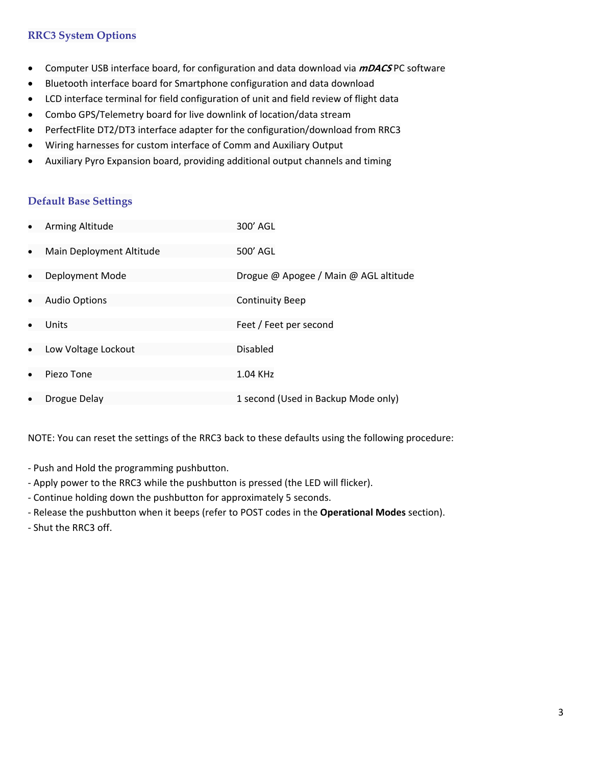## **RRC3 System Options**

- Computer USB interface board, for configuration and data download via **mDACS** PC software
- Bluetooth interface board for Smartphone configuration and data download
- LCD interface terminal for field configuration of unit and field review of flight data
- Combo GPS/Telemetry board for live downlink of location/data stream
- PerfectFlite DT2/DT3 interface adapter for the configuration/download from RRC3
- Wiring harnesses for custom interface of Comm and Auxiliary Output
- Auxiliary Pyro Expansion board, providing additional output channels and timing

#### **Default Base Settings**

|           | Arming Altitude          | 300' AGL                              |
|-----------|--------------------------|---------------------------------------|
| $\bullet$ | Main Deployment Altitude | 500' AGL                              |
|           | Deployment Mode          | Drogue @ Apogee / Main @ AGL altitude |
| $\bullet$ | <b>Audio Options</b>     | <b>Continuity Beep</b>                |
|           | Units                    | Feet / Feet per second                |
| $\bullet$ | Low Voltage Lockout      | <b>Disabled</b>                       |
| $\bullet$ | Piezo Tone               | 1.04 KHz                              |
|           | Drogue Delay             | 1 second (Used in Backup Mode only)   |

NOTE: You can reset the settings of the RRC3 back to these defaults using the following procedure:

- ‐ Push and Hold the programming pushbutton.
- ‐ Apply power to the RRC3 while the pushbutton is pressed (the LED will flicker).
- ‐ Continue holding down the pushbutton for approximately 5 seconds.
- ‐ Release the pushbutton when it beeps (refer to POST codes in the **Operational Modes** section).
- ‐ Shut the RRC3 off.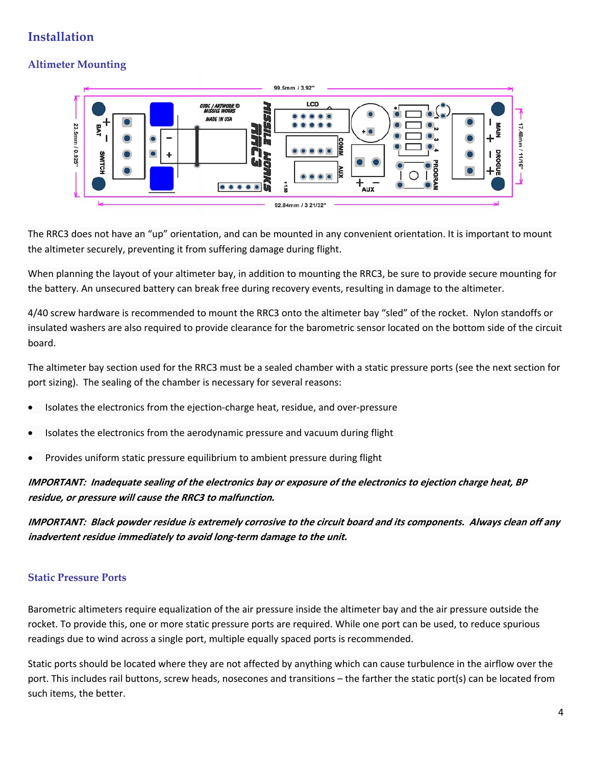# **Installation**

# **Altimeter Mounting**



The RRC3 does not have an "up" orientation, and can be mounted in any convenient orientation. It is important to mount the altimeter securely, preventing it from suffering damage during flight.

When planning the layout of your altimeter bay, in addition to mounting the RRC3, be sure to provide secure mounting for the battery. An unsecured battery can break free during recovery events, resulting in damage to the altimeter.

4/40 screw hardware is recommended to mount the RRC3 onto the altimeter bay "sled" of the rocket. Nylon standoffs or insulated washers are also required to provide clearance for the barometric sensor located on the bottom side of the circuit board.

The altimeter bay section used for the RRC3 must be a sealed chamber with a static pressure ports (see the next section for port sizing). The sealing of the chamber is necessary for several reasons:

- Isolates the electronics from the ejection‐charge heat, residue, and over‐pressure
- Isolates the electronics from the aerodynamic pressure and vacuum during flight
- Provides uniform static pressure equilibrium to ambient pressure during flight

IMPORTANT: Inadequate sealing of the electronics bay or exposure of the electronics to ejection charge heat, BP **residue, or pressure will cause the RRC3 to malfunction.**

IMPORTANT: Black powder residue is extremely corrosive to the circuit board and its components. Always clean off any **inadvertent residue immediately to avoid long‐term damage to the unit.**

# **Static Pressure Ports**

Barometric altimeters require equalization of the air pressure inside the altimeter bay and the air pressure outside the rocket. To provide this, one or more static pressure ports are required. While one port can be used, to reduce spurious readings due to wind across a single port, multiple equally spaced ports is recommended.

Static ports should be located where they are not affected by anything which can cause turbulence in the airflow over the port. This includes rail buttons, screw heads, nosecones and transitions – the farther the static port(s) can be located from such items, the better.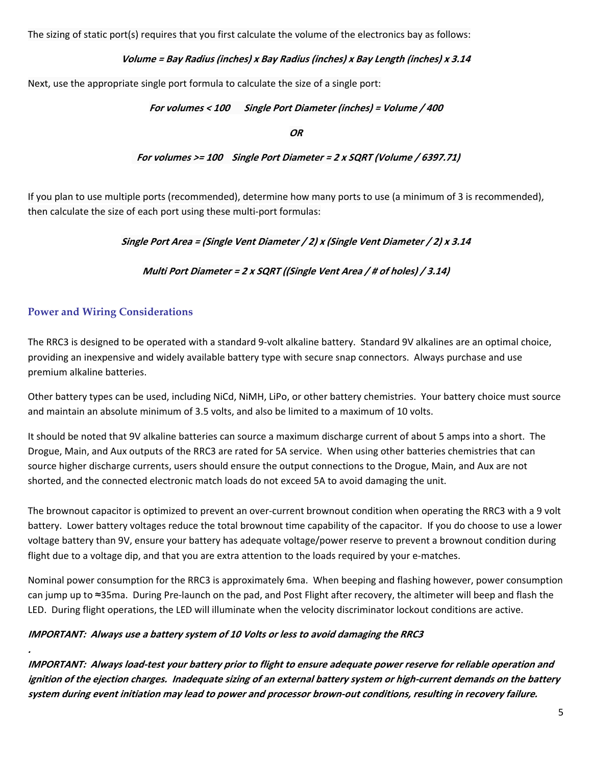The sizing of static port(s) requires that you first calculate the volume of the electronics bay as follows:

### **Volume <sup>=</sup> Bay Radius (inches) <sup>x</sup> Bay Radius (inches) <sup>x</sup> Bay Length (inches) <sup>x</sup> 3.14**

Next, use the appropriate single port formula to calculate the size of a single port:

### **For volumes <sup>&</sup>lt; 100 Single Port Diameter (inches) <sup>=</sup> Volume / 400**

**OR**

 **For volumes >= 100 Single Port Diameter <sup>=</sup> 2 <sup>x</sup> SQRT (Volume / 6397.71)**

If you plan to use multiple ports (recommended), determine how many ports to use (a minimum of 3 is recommended), then calculate the size of each port using these multi‐port formulas:

**Single Port Area <sup>=</sup> (Single Vent Diameter / 2) <sup>x</sup> (Single Vent Diameter / 2) <sup>x</sup> 3.14**

**Multi Port Diameter <sup>=</sup> 2 <sup>x</sup> SQRT ((Single Vent Area / # of holes) / 3.14)**

# **Power and Wiring Considerations**

The RRC3 is designed to be operated with a standard 9‐volt alkaline battery. Standard 9V alkalines are an optimal choice, providing an inexpensive and widely available battery type with secure snap connectors. Always purchase and use premium alkaline batteries.

Other battery types can be used, including NiCd, NiMH, LiPo, or other battery chemistries. Your battery choice must source and maintain an absolute minimum of 3.5 volts, and also be limited to a maximum of 10 volts.

It should be noted that 9V alkaline batteries can source a maximum discharge current of about 5 amps into a short. The Drogue, Main, and Aux outputs of the RRC3 are rated for 5A service. When using other batteries chemistries that can source higher discharge currents, users should ensure the output connections to the Drogue, Main, and Aux are not shorted, and the connected electronic match loads do not exceed 5A to avoid damaging the unit.

The brownout capacitor is optimized to prevent an over-current brownout condition when operating the RRC3 with a 9 volt battery. Lower battery voltages reduce the total brownout time capability of the capacitor. If you do choose to use a lower voltage battery than 9V, ensure your battery has adequate voltage/power reserve to prevent a brownout condition during flight due to a voltage dip, and that you are extra attention to the loads required by your e‐matches.

Nominal power consumption for the RRC3 is approximately 6ma. When beeping and flashing however, power consumption can jump up to ≈35ma. During Pre‐launch on the pad, and Post Flight after recovery, the altimeter will beep and flash the LED. During flight operations, the LED will illuminate when the velocity discriminator lockout conditions are active.

### **IMPORTANT: Always use <sup>a</sup> battery system of 10 Volts or less to avoid damaging the RRC3**

IMPORTANT: Always load-test your battery prior to flight to ensure adequate power reserve for reliable operation and ignition of the ejection charges. Inadequate sizing of an external battery system or high-current demands on the battery system during event initiation may lead to power and processor brown-out conditions, resulting in recovery failure.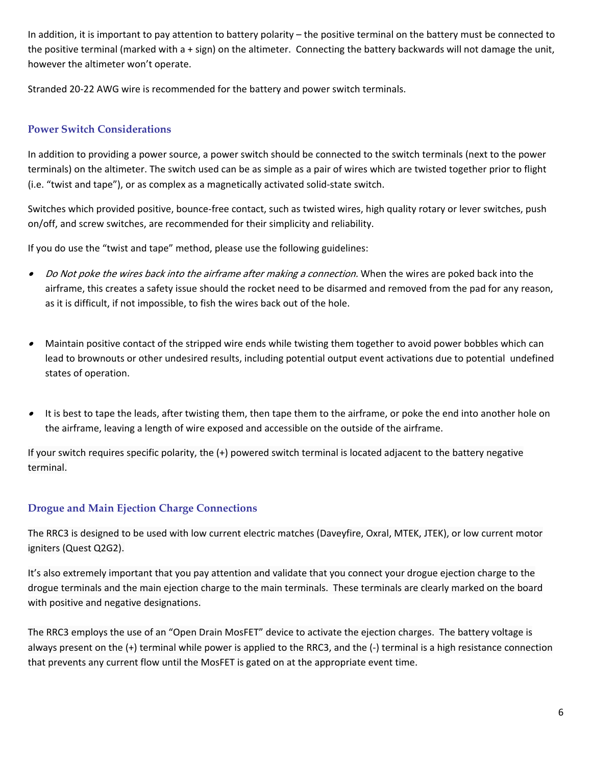In addition, it is important to pay attention to battery polarity – the positive terminal on the battery must be connected to the positive terminal (marked with a + sign) on the altimeter. Connecting the battery backwards will not damage the unit, however the altimeter won't operate.

Stranded 20‐22 AWG wire is recommended for the battery and power switch terminals.

# **Power Switch Considerations**

In addition to providing a power source, a power switch should be connected to the switch terminals (next to the power terminals) on the altimeter. The switch used can be as simple as a pair of wires which are twisted together prior to flight (i.e. "twist and tape"), or as complex as a magnetically activated solid‐state switch.

Switches which provided positive, bounce‐free contact, such as twisted wires, high quality rotary or lever switches, push on/off, and screw switches, are recommended for their simplicity and reliability.

If you do use the "twist and tape" method, please use the following guidelines:

- •Do Not poke the wires back into the airframe after making a connection. When the wires are poked back into the airframe, this creates a safety issue should the rocket need to be disarmed and removed from the pad for any reason, as it is difficult, if not impossible, to fish the wires back out of the hole.
- • Maintain positive contact of the stripped wire ends while twisting them together to avoid power bobbles which can lead to brownouts or other undesired results, including potential output event activations due to potential undefined states of operation.
- •It is best to tape the leads, after twisting them, then tape them to the airframe, or poke the end into another hole on the airframe, leaving a length of wire exposed and accessible on the outside of the airframe.

If your switch requires specific polarity, the (+) powered switch terminal is located adjacent to the battery negative terminal.

# **Drogue and Main Ejection Charge Connections**

The RRC3 is designed to be used with low current electric matches (Daveyfire, Oxral, MTEK, JTEK), or low current motor igniters (Quest Q2G2).

It's also extremely important that you pay attention and validate that you connect your drogue ejection charge to the drogue terminals and the main ejection charge to the main terminals. These terminals are clearly marked on the board with positive and negative designations.

The RRC3 employs the use of an "Open Drain MosFET" device to activate the ejection charges. The battery voltage is always present on the (+) terminal while power is applied to the RRC3, and the (‐) terminal is a high resistance connection that prevents any current flow until the MosFET is gated on at the appropriate event time.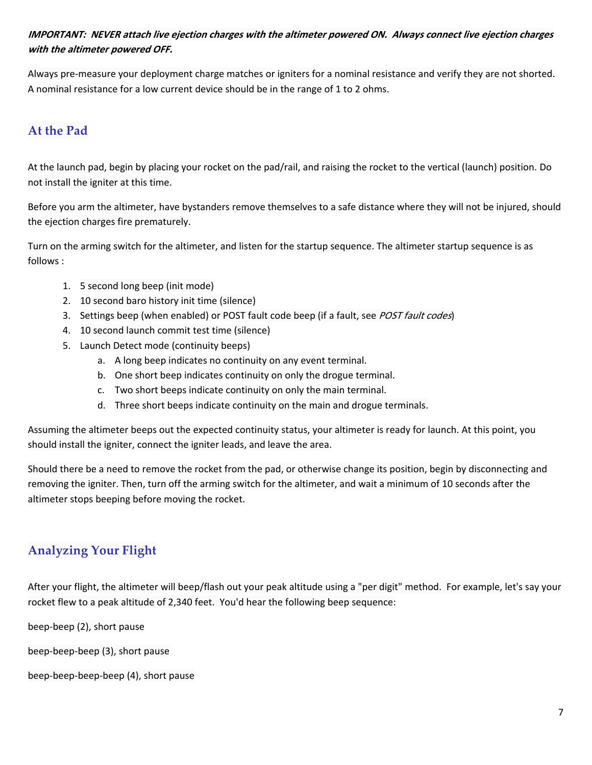# IMPORTANT: NEVER attach live ejection charges with the altimeter powered ON. Always connect live ejection charges **with the altimeter powered OFF.**

Always pre‐measure your deployment charge matches or igniters for a nominal resistance and verify they are not shorted. A nominal resistance for a low current device should be in the range of 1 to 2 ohms.

# **At the Pad**

At the launch pad, begin by placing your rocket on the pad/rail, and raising the rocket to the vertical (launch) position. Do not install the igniter at this time.

Before you arm the altimeter, have bystanders remove themselves to a safe distance where they will not be injured, should the ejection charges fire prematurely.

Turn on the arming switch for the altimeter, and listen for the startup sequence. The altimeter startup sequence is as follows :

- 1. 5 second long beep (init mode)
- 2. 10 second baro history init time (silence)
- 3. Settings beep (when enabled) or POST fault code beep (if a fault, see POST fault codes)
- 4. 10 second launch commit test time (silence)
- 5. Launch Detect mode (continuity beeps)
	- a. A long beep indicates no continuity on any event terminal.
	- b. One short beep indicates continuity on only the drogue terminal.
	- c. Two short beeps indicate continuity on only the main terminal.
	- d. Three short beeps indicate continuity on the main and drogue terminals.

Assuming the altimeter beeps out the expected continuity status, your altimeter is ready for launch. At this point, you should install the igniter, connect the igniter leads, and leave the area.

Should there be a need to remove the rocket from the pad, or otherwise change its position, begin by disconnecting and removing the igniter. Then, turn off the arming switch for the altimeter, and wait a minimum of 10 seconds after the altimeter stops beeping before moving the rocket.

# **Analyzing Your Flight**

After your flight, the altimeter will beep/flash out your peak altitude using a "per digit" method. For example, let's say your rocket flew to a peak altitude of 2,340 feet. You'd hear the following beep sequence:

beep‐beep (2), short pause

beep‐beep‐beep (3), short pause

beep‐beep‐beep‐beep (4), short pause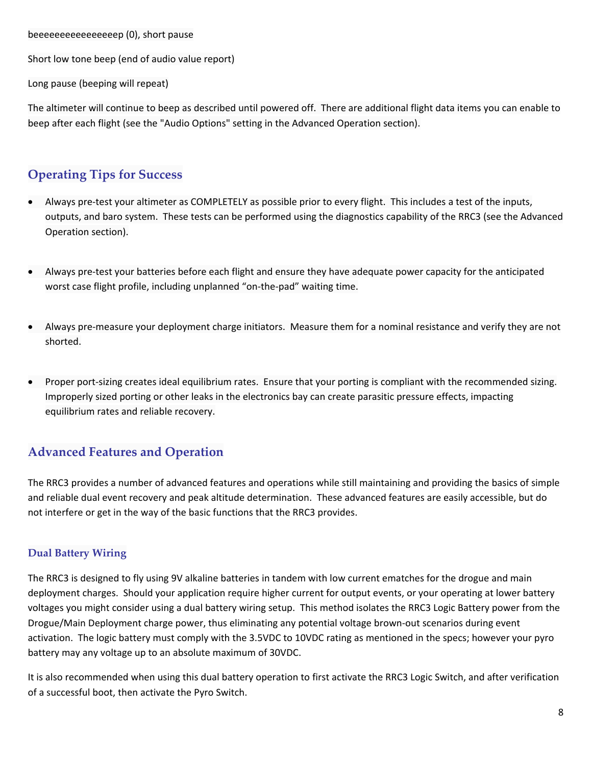beeeeeeeeeeeeeeeep (0), short pause

Short low tone beep (end of audio value report)

Long pause (beeping will repeat)

The altimeter will continue to beep as described until powered off. There are additional flight data items you can enable to beep after each flight (see the "Audio Options" setting in the Advanced Operation section).

# **Operating Tips for Success**

- Always pre-test your altimeter as COMPLETELY as possible prior to every flight. This includes a test of the inputs, outputs, and baro system. These tests can be performed using the diagnostics capability of the RRC3 (see the Advanced Operation section).
- Always pre‐test your batteries before each flight and ensure they have adequate power capacity for the anticipated worst case flight profile, including unplanned "on-the-pad" waiting time.
- Always pre‐measure your deployment charge initiators. Measure them for a nominal resistance and verify they are not shorted.
- Proper port‐sizing creates ideal equilibrium rates. Ensure that your porting is compliant with the recommended sizing. Improperly sized porting or other leaks in the electronics bay can create parasitic pressure effects, impacting equilibrium rates and reliable recovery.

# **Advanced Features and Operation**

The RRC3 provides a number of advanced features and operations while still maintaining and providing the basics of simple and reliable dual event recovery and peak altitude determination. These advanced features are easily accessible, but do not interfere or get in the way of the basic functions that the RRC3 provides.

# **Dual Battery Wiring**

The RRC3 is designed to fly using 9V alkaline batteries in tandem with low current ematches for the drogue and main deployment charges. Should your application require higher current for output events, or your operating at lower battery voltages you might consider using a dual battery wiring setup. This method isolates the RRC3 Logic Battery power from the Drogue/Main Deployment charge power, thus eliminating any potential voltage brown‐out scenarios during event activation. The logic battery must comply with the 3.5VDC to 10VDC rating as mentioned in the specs; however your pyro battery may any voltage up to an absolute maximum of 30VDC.

It is also recommended when using this dual battery operation to first activate the RRC3 Logic Switch, and after verification of a successful boot, then activate the Pyro Switch.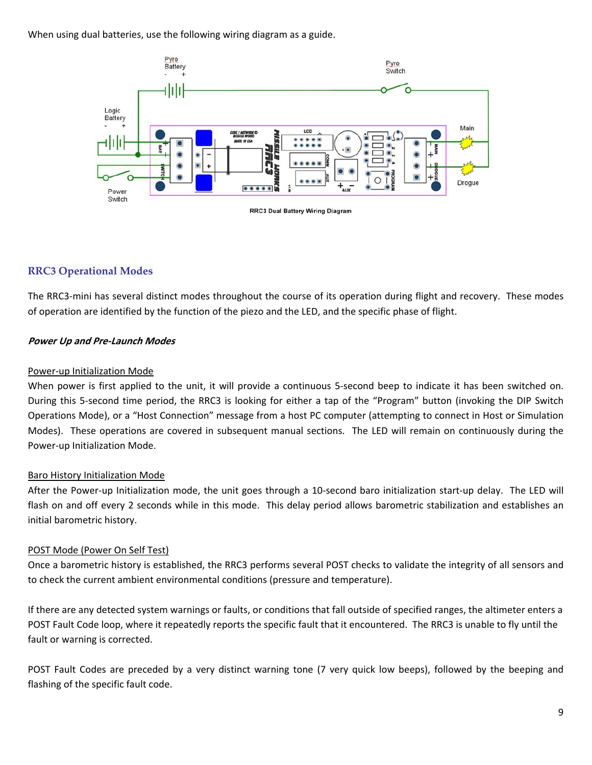When using dual batteries, use the following wiring diagram as a guide.



## **RRC3 Operational Modes**

The RRC3‐mini has several distinct modes throughout the course of its operation during flight and recovery. These modes of operation are identified by the function of the piezo and the LED, and the specific phase of flight.

#### **Power Up and Pre‐Launch Modes**

#### Power‐up Initialization Mode

When power is first applied to the unit, it will provide a continuous 5-second beep to indicate it has been switched on. During this 5‐second time period, the RRC3 is looking for either a tap of the "Program" button (invoking the DIP Switch Operations Mode), or a "Host Connection" message from a host PC computer (attempting to connect in Host or Simulation Modes). These operations are covered in subsequent manual sections. The LED will remain on continuously during the Power‐up Initialization Mode.

#### Baro History Initialization Mode

After the Power-up Initialization mode, the unit goes through a 10-second baro initialization start-up delay. The LED will flash on and off every 2 seconds while in this mode. This delay period allows barometric stabilization and establishes an initial barometric history.

#### POST Mode (Power On Self Test)

Once a barometric history is established, the RRC3 performs several POST checks to validate the integrity of all sensors and to check the current ambient environmental conditions (pressure and temperature).

If there are any detected system warnings or faults, or conditions that fall outside of specified ranges, the altimeter enters a POST Fault Code loop, where it repeatedly reports the specific fault that it encountered. The RRC3 is unable to fly until the fault or warning is corrected.

POST Fault Codes are preceded by a very distinct warning tone (7 very quick low beeps), followed by the beeping and flashing of the specific fault code.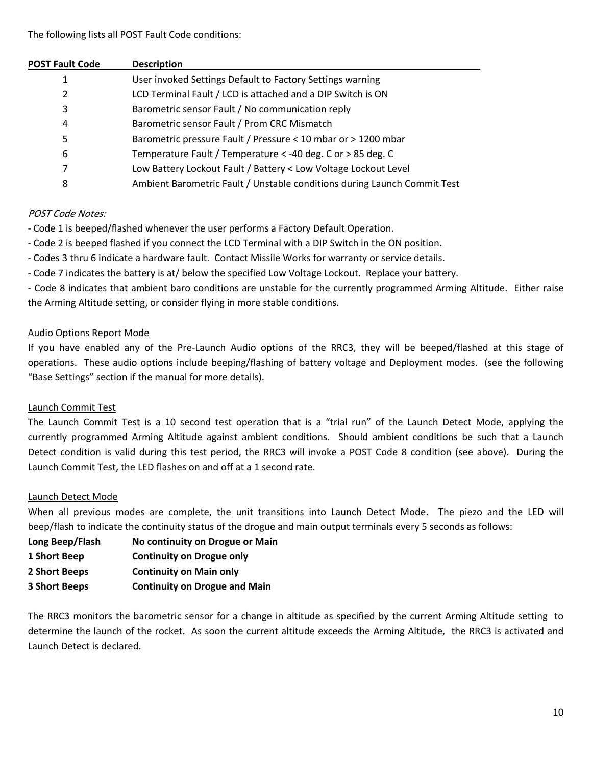| <b>POST Fault Code</b> | <b>Description</b>                                                       |
|------------------------|--------------------------------------------------------------------------|
| 1                      | User invoked Settings Default to Factory Settings warning                |
| 2                      | LCD Terminal Fault / LCD is attached and a DIP Switch is ON              |
| 3                      | Barometric sensor Fault / No communication reply                         |
| 4                      | Barometric sensor Fault / Prom CRC Mismatch                              |
| 5                      | Barometric pressure Fault / Pressure < 10 mbar or > 1200 mbar            |
| 6                      | Temperature Fault / Temperature < -40 deg. C or > 85 deg. C              |
| 7                      | Low Battery Lockout Fault / Battery < Low Voltage Lockout Level          |
| 8                      | Ambient Barometric Fault / Unstable conditions during Launch Commit Test |

## POST Code Notes:

- ‐ Code 1 is beeped/flashed whenever the user performs a Factory Default Operation.
- ‐ Code 2 is beeped flashed if you connect the LCD Terminal with a DIP Switch in the ON position.
- ‐ Codes 3 thru 6 indicate a hardware fault. Contact Missile Works for warranty or service details.
- ‐ Code 7 indicates the battery is at/ below the specified Low Voltage Lockout. Replace your battery.

‐ Code 8 indicates that ambient baro conditions are unstable for the currently programmed Arming Altitude. Either raise the Arming Altitude setting, or consider flying in more stable conditions.

## Audio Options Report Mode

If you have enabled any of the Pre‐Launch Audio options of the RRC3, they will be beeped/flashed at this stage of operations. These audio options include beeping/flashing of battery voltage and Deployment modes. (see the following "Base Settings" section if the manual for more details).

### Launch Commit Test

The Launch Commit Test is a 10 second test operation that is a "trial run" of the Launch Detect Mode, applying the currently programmed Arming Altitude against ambient conditions. Should ambient conditions be such that a Launch Detect condition is valid during this test period, the RRC3 will invoke a POST Code 8 condition (see above). During the Launch Commit Test, the LED flashes on and off at a 1 second rate.

### Launch Detect Mode

When all previous modes are complete, the unit transitions into Launch Detect Mode. The piezo and the LED will beep/flash to indicate the continuity status of the drogue and main output terminals every 5 seconds as follows:

- **Long Beep/Flash No continuity on Drogue or Main**
- **1 Short Beep Continuity on Drogue only**
- **2 Short Beeps Continuity on Main only**
- **3 Short Beeps Continuity on Drogue and Main**

The RRC3 monitors the barometric sensor for a change in altitude as specified by the current Arming Altitude setting to determine the launch of the rocket. As soon the current altitude exceeds the Arming Altitude, the RRC3 is activated and Launch Detect is declared.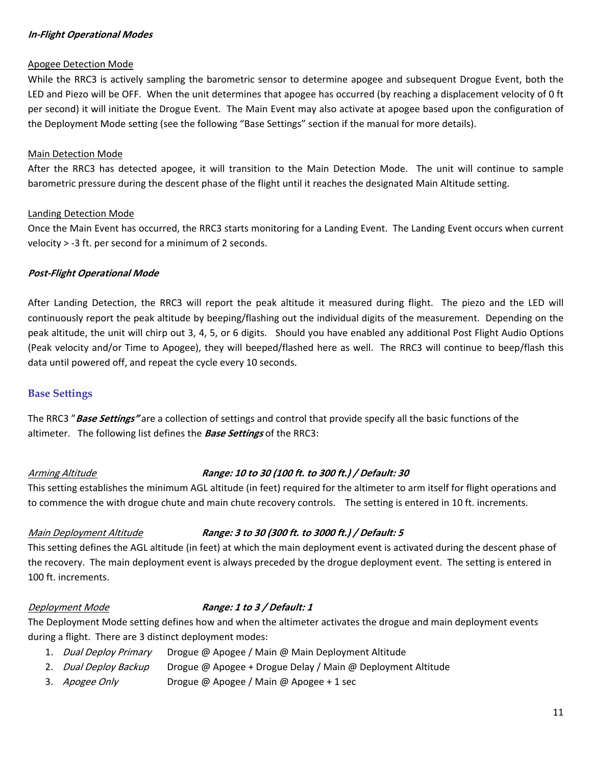#### **In‐Flight Operational Modes**

#### Apogee Detection Mode

While the RRC3 is actively sampling the barometric sensor to determine apogee and subsequent Drogue Event, both the LED and Piezo will be OFF.When the unit determines that apogee has occurred (by reaching a displacement velocity of 0 ft per second) it will initiate the Drogue Event. The Main Event may also activate at apogee based upon the configuration of the Deployment Mode setting (see the following "Base Settings" section if the manual for more details).

#### Main Detection Mode

After the RRC3 has detected apogee, it will transition to the Main Detection Mode. The unit will continue to sample barometric pressure during the descent phase of the flight until it reaches the designated Main Altitude setting.

#### Landing Detection Mode

Once the Main Event has occurred, the RRC3 starts monitoring for a Landing Event. The Landing Event occurs when current velocity > ‐3 ft. per second for a minimum of 2 seconds.

#### **Post‐Flight Operational Mode**

After Landing Detection, the RRC3 will report the peak altitude it measured during flight. The piezo and the LED will continuously report the peak altitude by beeping/flashing out the individual digits of the measurement. Depending on the peak altitude, the unit will chirp out 3, 4, 5, or 6 digits. Should you have enabled any additional Post Flight Audio Options (Peak velocity and/or Time to Apogee), they will beeped/flashed here as well. The RRC3 will continue to beep/flash this data until powered off, and repeat the cycle every 10 seconds.

### **Base Settings**

The RRC3 "**Base Settings"** are a collection of settings and control that provide specify all the basic functions of the altimeter. The following list defines the **Base Settings** of the RRC3:

### Arming Altitude **Range: <sup>10</sup> to <sup>30</sup> (100 ft. to <sup>300</sup> ft.) / Default: <sup>30</sup>**

This setting establishes the minimum AGL altitude (in feet) required for the altimeter to arm itself for flight operations and to commence the with drogue chute and main chute recovery controls. The setting is entered in 10 ft. increments.

### Main Deployment Altitude **Range: <sup>3</sup> to <sup>30</sup> (300 ft. to <sup>3000</sup> ft.) / Default: <sup>5</sup>**

This setting defines the AGL altitude (in feet) at which the main deployment event is activated during the descent phase of the recovery. The main deployment event is always preceded by the drogue deployment event. The setting is entered in 100 ft. increments.

### Deployment Mode **Range: <sup>1</sup> to <sup>3</sup> / Default: <sup>1</sup>**

The Deployment Mode setting defines how and when the altimeter activates the drogue and main deployment events during a flight. There are 3 distinct deployment modes:

- 1. Dual Deploy Primary Drogue @ Apogee / Main @ Main Deployment Altitude
- 2. Dual Deploy Backup Drogue @ Apogee + Drogue Delay / Main @ Deployment Altitude
- 3. Apogee Only Drogue @ Apogee / Main @ Apogee + 1 sec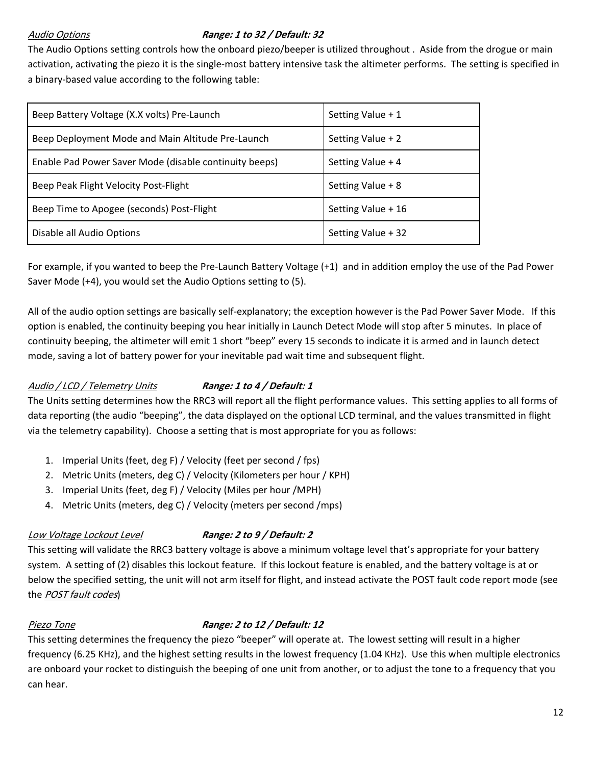# Audio Options **Range: <sup>1</sup> to <sup>32</sup> / Default: <sup>32</sup>**

The Audio Options setting controls how the onboard piezo/beeper is utilized throughout . Aside from the drogue or main activation, activating the piezo it is the single‐most battery intensive task the altimeter performs. The setting is specified in a binary‐based value according to the following table:

| Beep Battery Voltage (X.X volts) Pre-Launch            | Setting Value + 1  |
|--------------------------------------------------------|--------------------|
| Beep Deployment Mode and Main Altitude Pre-Launch      | Setting Value + 2  |
| Enable Pad Power Saver Mode (disable continuity beeps) | Setting Value + 4  |
| Beep Peak Flight Velocity Post-Flight                  | Setting Value + 8  |
| Beep Time to Apogee (seconds) Post-Flight              | Setting Value + 16 |
| Disable all Audio Options                              | Setting Value + 32 |

For example, if you wanted to beep the Pre‐Launch Battery Voltage (+1) and in addition employ the use of the Pad Power Saver Mode (+4), you would set the Audio Options setting to (5).

All of the audio option settings are basically self‐explanatory; the exception however is the Pad Power Saver Mode. If this option is enabled, the continuity beeping you hear initially in Launch Detect Mode will stop after 5 minutes. In place of continuity beeping, the altimeter will emit 1 short "beep" every 15 seconds to indicate it is armed and in launch detect mode, saving a lot of battery power for your inevitable pad wait time and subsequent flight.

# Audio / LCD / Telemetry Units **Range: 1 to 4 / Default: 1**

The Units setting determines how the RRC3 will report all the flight performance values. This setting applies to all forms of data reporting (the audio "beeping", the data displayed on the optional LCD terminal, and the values transmitted in flight via the telemetry capability). Choose a setting that is most appropriate for you as follows:

- 1. Imperial Units (feet, deg F) / Velocity (feet per second / fps)
- 2. Metric Units (meters, deg C) / Velocity (Kilometers per hour / KPH)
- 3. Imperial Units (feet, deg F) / Velocity (Miles per hour /MPH)
- 4. Metric Units (meters, deg C) / Velocity (meters per second /mps)

# Low Voltage Lockout Level **Range: <sup>2</sup> to <sup>9</sup> / Default: <sup>2</sup>**

This setting will validate the RRC3 battery voltage is above a minimum voltage level that's appropriate for your battery system. A setting of (2) disables this lockout feature. If this lockout feature is enabled, and the battery voltage is at or below the specified setting, the unit will not arm itself for flight, and instead activate the POST fault code report mode (see the *POST fault codes*)

# Piezo Tone **Range: <sup>2</sup> to <sup>12</sup> / Default: <sup>12</sup>**

This setting determines the frequency the piezo "beeper" will operate at. The lowest setting will result in a higher frequency (6.25 KHz), and the highest setting results in the lowest frequency (1.04 KHz). Use this when multiple electronics are onboard your rocket to distinguish the beeping of one unit from another, or to adjust the tone to a frequency that you can hear.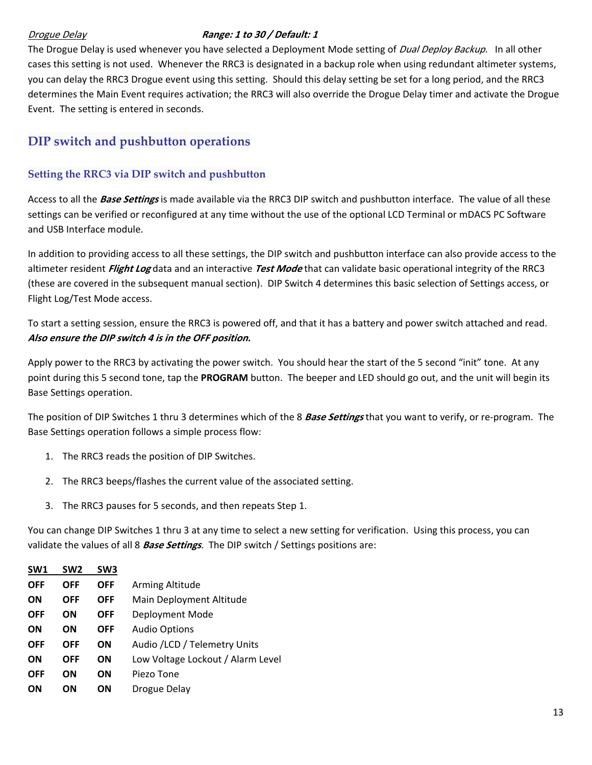## Drogue Delay **Range: <sup>1</sup> to <sup>30</sup> / Default: <sup>1</sup>**

The Drogue Delay is used whenever you have selected a Deployment Mode setting of *Dual Deploy Backup.* In all other cases this setting is not used. Whenever the RRC3 is designated in a backup role when using redundant altimeter systems, you can delay the RRC3 Drogue event using this setting. Should this delay setting be set for a long period, and the RRC3 determines the Main Event requires activation; the RRC3 will also override the Drogue Delay timer and activate the Drogue Event. The setting is entered in seconds.

# **DIP switch and pushbutton operations**

## **Setting the RRC3 via DIP switch and pushbutton**

Access to all the **Base Settings** is made available via the RRC3 DIP switch and pushbutton interface. The value of all these settings can be verified or reconfigured at any time without the use of the optional LCD Terminal or mDACS PC Software and USB Interface module.

In addition to providing access to all these settings, the DIP switch and pushbutton interface can also provide access to the altimeter resident **Flight Log** data and an interactive **Test Mode** that can validate basic operational integrity of the RRC3 (these are covered in the subsequent manual section). DIP Switch 4 determines this basic selection of Settings access, or Flight Log/Test Mode access.

To start a setting session, ensure the RRC3 is powered off, and that it has a battery and power switch attached and read. **Also ensure the DIP switch 4 is in the OFF position.**

Apply power to the RRC3 by activating the power switch. You should hear the start of the 5 second "init" tone. At any point during this 5 second tone, tap the **PROGRAM** button. The beeper and LED should go out, and the unit will begin its Base Settings operation.

The position of DIP Switches 1 thru 3 determines which of the 8 **Base Settings** that you want to verify, or re‐program. The Base Settings operation follows a simple process flow:

- 1. The RRC3 reads the position of DIP Switches.
- 2. The RRC3 beeps/flashes the current value of the associated setting.
- 3. The RRC3 pauses for 5 seconds, and then repeats Step 1.

You can change DIP Switches 1 thru 3 at any time to select a new setting for verification. Using this process, you can validate the values of all 8 **Base Settings**. The DIP switch / Settings positions are:

| SW <sub>1</sub> | SW <sub>2</sub> | SW <sub>3</sub> |                                   |
|-----------------|-----------------|-----------------|-----------------------------------|
| <b>OFF</b>      | <b>OFF</b>      | <b>OFF</b>      | Arming Altitude                   |
| <b>ON</b>       | <b>OFF</b>      | <b>OFF</b>      | Main Deployment Altitude          |
| <b>OFF</b>      | OΝ              | <b>OFF</b>      | Deployment Mode                   |
| ON              | ON              | <b>OFF</b>      | <b>Audio Options</b>              |
| <b>OFF</b>      | <b>OFF</b>      | <b>ON</b>       | Audio /LCD / Telemetry Units      |
| <b>ON</b>       | <b>OFF</b>      | ΟN              | Low Voltage Lockout / Alarm Level |
| <b>OFF</b>      | OΝ              | <b>ON</b>       | Piezo Tone                        |
| <b>ON</b>       | OΝ              | OΝ              | Drogue Delay                      |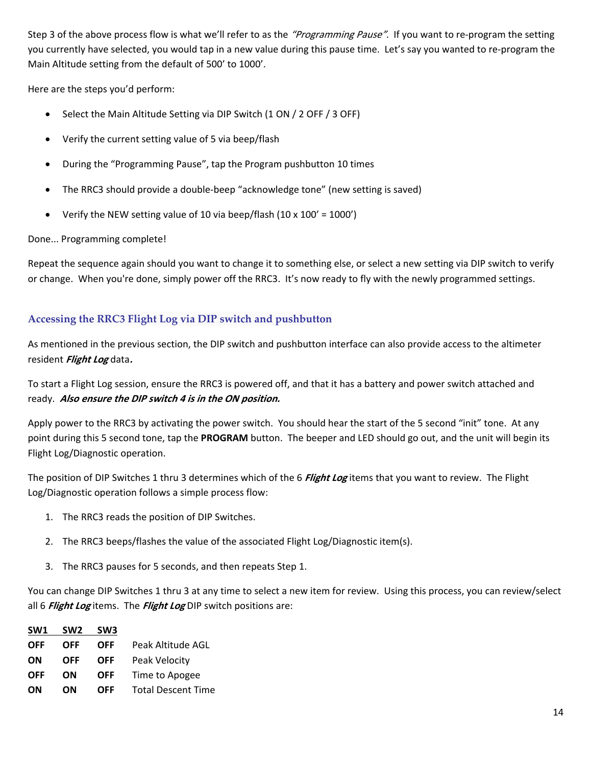Step 3 of the above process flow is what we'll refer to as the "Programming Pause". If you want to re-program the setting you currently have selected, you would tap in a new value during this pause time. Let's say you wanted to re‐program the Main Altitude setting from the default of 500' to 1000'.

Here are the steps you'd perform:

- Select the Main Altitude Setting via DIP Switch (1 ON / 2 OFF / 3 OFF)
- Verify the current setting value of 5 via beep/flash
- During the "Programming Pause", tap the Program pushbutton 10 times
- The RRC3 should provide a double-beep "acknowledge tone" (new setting is saved)
- Verify the NEW setting value of 10 via beep/flash  $(10 \times 100' = 1000')$

#### Done... Programming complete!

Repeat the sequence again should you want to change it to something else, or select a new setting via DIP switch to verify or change. When you're done, simply power off the RRC3. It's now ready to fly with the newly programmed settings.

## **Accessing the RRC3 Flight Log via DIP switch and pushbutton**

As mentioned in the previous section, the DIP switch and pushbutton interface can also provide access to the altimeter resident **Flight Log** data**.**

To start a Flight Log session, ensure the RRC3 is powered off, and that it has a battery and power switch attached and ready. **Also ensure the DIP switch <sup>4</sup> is in the ON position.**

Apply power to the RRC3 by activating the power switch. You should hear the start of the 5 second "init" tone. At any point during this 5 second tone, tap the **PROGRAM** button. The beeper and LED should go out, and the unit will begin its Flight Log/Diagnostic operation.

The position of DIP Switches 1 thru 3 determines which of the 6 **Flight Log** items that you want to review. The Flight Log/Diagnostic operation follows a simple process flow:

- 1. The RRC3 reads the position of DIP Switches.
- 2. The RRC3 beeps/flashes the value of the associated Flight Log/Diagnostic item(s).
- 3. The RRC3 pauses for 5 seconds, and then repeats Step 1.

You can change DIP Switches 1 thru 3 at any time to select a new item for review. Using this process, you can review/select all 6 **Flight Log** items. The **Flight Log** DIP switch positions are:

| SW1        | SW <sub>2</sub> | SW <sub>3</sub> |                           |
|------------|-----------------|-----------------|---------------------------|
| <b>OFF</b> | <b>OFF</b>      | <b>OFF</b>      | Peak Altitude AGL         |
| ON         | <b>OFF</b>      | <b>OFF</b>      | Peak Velocity             |
| <b>OFF</b> | OΝ              | OFF             | Time to Apogee            |
| OΝ         | OΝ              | OFF             | <b>Total Descent Time</b> |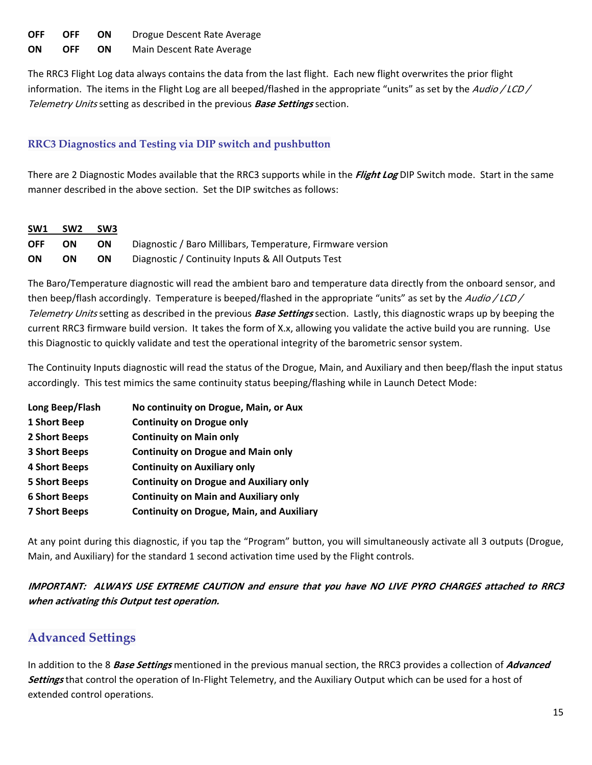| OFF. | OFF        | ON.  | Drogue Descent Rate Average |
|------|------------|------|-----------------------------|
| ON   | <b>OFF</b> | - ON | Main Descent Rate Average   |

The RRC3 Flight Log data always contains the data from the last flight. Each new flight overwrites the prior flight information. The items in the Flight Log are all beeped/flashed in the appropriate "units" as set by the Audio / LCD / Telemetry Units setting as described in the previous **Base Settings** section.

# **RRC3 Diagnostics and Testing via DIP switch and pushbutton**

There are 2 Diagnostic Modes available that the RRC3 supports while in the **Flight Log** DIP Switch mode. Start in the same manner described in the above section. Set the DIP switches as follows:

| SW <sub>1</sub> | SW <sub>2</sub> | SW <sub>3</sub> |                                                            |
|-----------------|-----------------|-----------------|------------------------------------------------------------|
| <b>OFF</b>      | <b>ON</b>       | <b>ON</b>       | Diagnostic / Baro Millibars, Temperature, Firmware version |
| ON              | OΝ              | <b>ON</b>       | Diagnostic / Continuity Inputs & All Outputs Test          |

The Baro/Temperature diagnostic will read the ambient baro and temperature data directly from the onboard sensor, and then beep/flash accordingly. Temperature is beeped/flashed in the appropriate "units" as set by the Audio / LCD/ Telemetry Units setting as described in the previous **Base Settings** section. Lastly, this diagnostic wraps up by beeping the current RRC3 firmware build version. It takes the form of X.x, allowing you validate the active build you are running. Use this Diagnostic to quickly validate and test the operational integrity of the barometric sensor system.

The Continuity Inputs diagnostic will read the status of the Drogue, Main, and Auxiliary and then beep/flash the input status accordingly. This test mimics the same continuity status beeping/flashing while in Launch Detect Mode:

| Long Beep/Flash      | No continuity on Drogue, Main, or Aux            |
|----------------------|--------------------------------------------------|
| 1 Short Beep         | <b>Continuity on Drogue only</b>                 |
| 2 Short Beeps        | <b>Continuity on Main only</b>                   |
| <b>3 Short Beeps</b> | <b>Continuity on Drogue and Main only</b>        |
| <b>4 Short Beeps</b> | <b>Continuity on Auxiliary only</b>              |
| <b>5 Short Beeps</b> | <b>Continuity on Drogue and Auxiliary only</b>   |
| <b>6 Short Beeps</b> | <b>Continuity on Main and Auxiliary only</b>     |
| <b>7 Short Beeps</b> | <b>Continuity on Drogue, Main, and Auxiliary</b> |

At any point during this diagnostic, if you tap the "Program" button, you will simultaneously activate all 3 outputs (Drogue, Main, and Auxiliary) for the standard 1 second activation time used by the Flight controls.

IMPORTANT: ALWAYS USE EXTREME CAUTION and ensure that you have NO LIVE PYRO CHARGES attached to RRC3 **when activating this Output test operation.**

# **Advanced Settings**

In addition to the 8 **Base Settings** mentioned in the previous manual section, the RRC3 provides a collection of **Advanced Settings** that control the operation of In‐Flight Telemetry, and the Auxiliary Output which can be used for a host of extended control operations.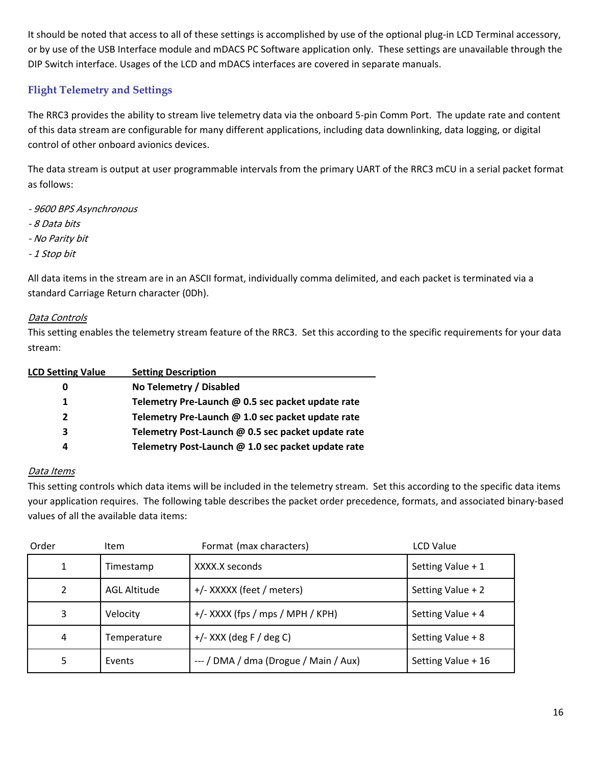It should be noted that access to all of these settings is accomplished by use of the optional plug-in LCD Terminal accessory, or by use of the USB Interface module and mDACS PC Software application only. These settings are unavailable through the DIP Switch interface. Usages of the LCD and mDACS interfaces are covered in separate manuals.

# **Flight Telemetry and Settings**

The RRC3 provides the ability to stream live telemetry data via the onboard 5‐pin Comm Port. The update rate and content of this data stream are configurable for many different applications, including data downlinking, data logging, or digital control of other onboard avionics devices.

The data stream is output at user programmable intervals from the primary UART of the RRC3 mCU in a serial packet format as follows:

- ‐ 9600 BPS Asynchronous
- ‐ 8 Data bits
- ‐ No Parity bit
- ‐ 1 Stop bit

All data items in the stream are in an ASCII format, individually comma delimited, and each packet is terminated via a standard Carriage Return character (0Dh).

### Data Controls

This setting enables the telemetry stream feature of the RRC3. Set this according to the specific requirements for your data stream:

| <b>LCD Setting Value</b> | <b>Setting Description</b>                         |
|--------------------------|----------------------------------------------------|
|                          | No Telemetry / Disabled                            |
| 1.                       | Telemetry Pre-Launch @ 0.5 sec packet update rate  |
| 2                        | Telemetry Pre-Launch @ 1.0 sec packet update rate  |
| 3                        | Telemetry Post-Launch @ 0.5 sec packet update rate |
| 4                        | Telemetry Post-Launch @ 1.0 sec packet update rate |
|                          |                                                    |

### Data Items

This setting controls which data items will be included in the telemetry stream. Set this according to the specific data items your application requires. The following table describes the packet order precedence, formats, and associated binary‐based values of all the available data items:

| Order | ltem         | Format (max characters)               | LCD Value          |
|-------|--------------|---------------------------------------|--------------------|
| 1     | Timestamp    | XXXX.X seconds                        | Setting Value + 1  |
| 2     | AGL Altitude | +/- XXXXX (feet / meters)             | Setting Value + 2  |
| 3     | Velocity     | +/- XXXX (fps / mps / MPH / KPH)      | Setting Value + 4  |
| 4     | Temperature  | $+/-$ XXX (deg F / deg C)             | Setting Value + 8  |
| 5.    | Events       | --- / DMA / dma (Drogue / Main / Aux) | Setting Value + 16 |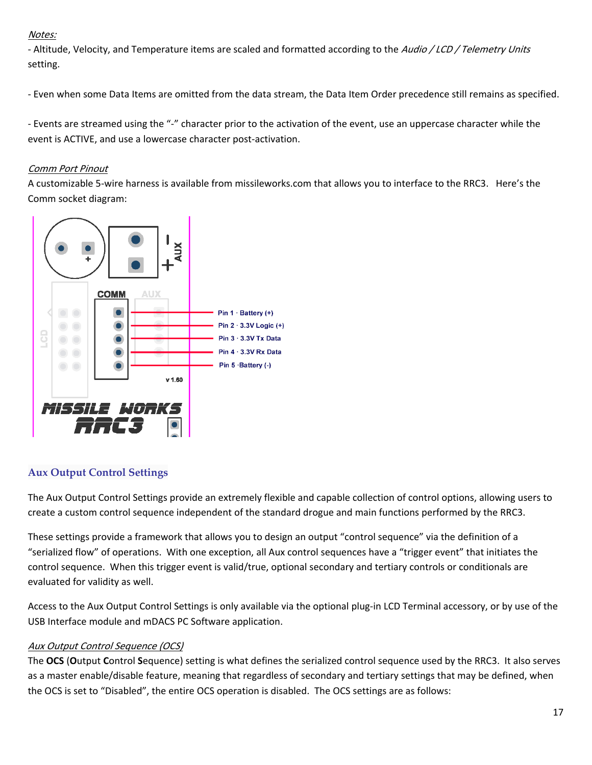## Notes:

- Altitude, Velocity, and Temperature items are scaled and formatted according to the Audio / LCD / Telemetry Units setting.

‐ Even when some Data Items are omitted from the data stream, the Data Item Order precedence still remains as specified.

‐ Events are streamed using the "‐" character prior to the activation of the event, use an uppercase character while the event is ACTIVE, and use a lowercase character post-activation.

## Comm Port Pinout

A customizable 5‐wire harness is available from missileworks.com that allows you to interface to the RRC3. Here's the Comm socket diagram:



# **Aux Output Control Settings**

The Aux Output Control Settings provide an extremely flexible and capable collection of control options, allowing users to create a custom control sequence independent of the standard drogue and main functions performed by the RRC3.

These settings provide a framework that allows you to design an output "control sequence" via the definition of a "serialized flow" of operations. With one exception, all Aux control sequences have a "trigger event" that initiates the control sequence. When this trigger event is valid/true, optional secondary and tertiary controls or conditionals are evaluated for validity as well.

Access to the Aux Output Control Settings is only available via the optional plug‐in LCD Terminal accessory, or by use of the USB Interface module and mDACS PC Software application.

# Aux Output Control Sequence (OCS)

The **OCS** (**O**utput **C**ontrol **S**equence) setting is what defines the serialized control sequence used by the RRC3. It also serves as a master enable/disable feature, meaning that regardless of secondary and tertiary settings that may be defined, when the OCS is set to "Disabled", the entire OCS operation is disabled. The OCS settings are as follows: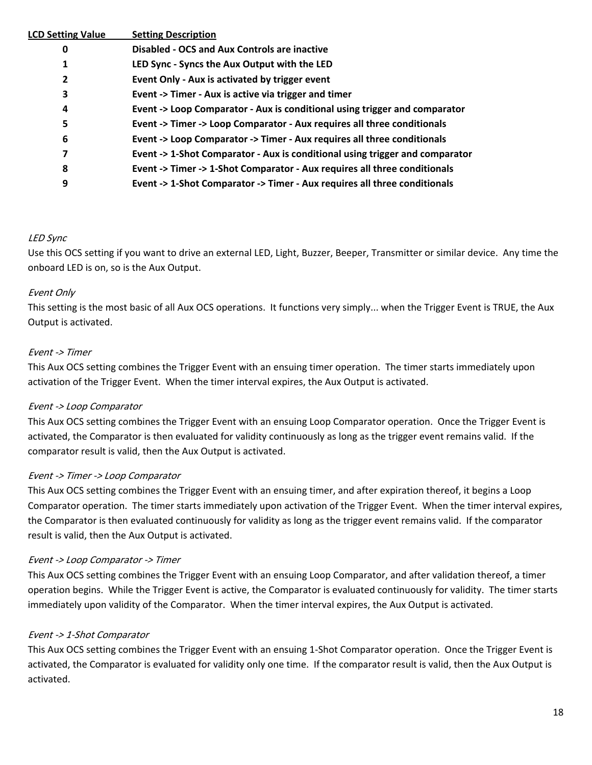| <b>LCD Setting Value</b> | <b>Setting Description</b>                                                   |
|--------------------------|------------------------------------------------------------------------------|
| 0                        | <b>Disabled - OCS and Aux Controls are inactive</b>                          |
| 1                        | LED Sync - Syncs the Aux Output with the LED                                 |
| 2                        | Event Only - Aux is activated by trigger event                               |
| 3                        | Event -> Timer - Aux is active via trigger and timer                         |
| 4                        | Event -> Loop Comparator - Aux is conditional using trigger and comparator   |
| 5                        | Event -> Timer -> Loop Comparator - Aux requires all three conditionals      |
| 6                        | Event -> Loop Comparator -> Timer - Aux requires all three conditionals      |
| 7                        | Event -> 1-Shot Comparator - Aux is conditional using trigger and comparator |
| 8                        | Event -> Timer -> 1-Shot Comparator - Aux requires all three conditionals    |
| 9                        | Event -> 1-Shot Comparator -> Timer - Aux requires all three conditionals    |

#### LED Sync

Use this OCS setting if you want to drive an external LED, Light, Buzzer, Beeper, Transmitter or similar device. Any time the onboard LED is on, so is the Aux Output.

#### Event Only

This setting is the most basic of all Aux OCS operations. It functions very simply... when the Trigger Event is TRUE, the Aux Output is activated.

#### Event ‐> Timer

This Aux OCS setting combines the Trigger Event with an ensuing timer operation. The timer starts immediately upon activation of the Trigger Event. When the timer interval expires, the Aux Output is activated.

#### Event ‐<sup>&</sup>gt; Loop Comparator

This Aux OCS setting combines the Trigger Event with an ensuing Loop Comparator operation. Once the Trigger Event is activated, the Comparator is then evaluated for validity continuously as long as the trigger event remains valid. If the comparator result is valid, then the Aux Output is activated.

#### Event ‐<sup>&</sup>gt; Timer ‐<sup>&</sup>gt; Loop Comparator

This Aux OCS setting combines the Trigger Event with an ensuing timer, and after expiration thereof, it begins a Loop Comparator operation. The timer starts immediately upon activation of the Trigger Event. When the timer interval expires, the Comparator is then evaluated continuously for validity as long as the trigger event remains valid. If the comparator result is valid, then the Aux Output is activated.

#### Event ‐<sup>&</sup>gt; Loop Comparator ‐<sup>&</sup>gt; Timer

This Aux OCS setting combines the Trigger Event with an ensuing Loop Comparator, and after validation thereof, a timer operation begins. While the Trigger Event is active, the Comparator is evaluated continuously for validity. The timer starts immediately upon validity of the Comparator. When the timer interval expires, the Aux Output is activated.

#### Event ‐<sup>&</sup>gt; 1‐Shot Comparator

This Aux OCS setting combines the Trigger Event with an ensuing 1‐Shot Comparator operation. Once the Trigger Event is activated, the Comparator is evaluated for validity only one time. If the comparator result is valid, then the Aux Output is activated.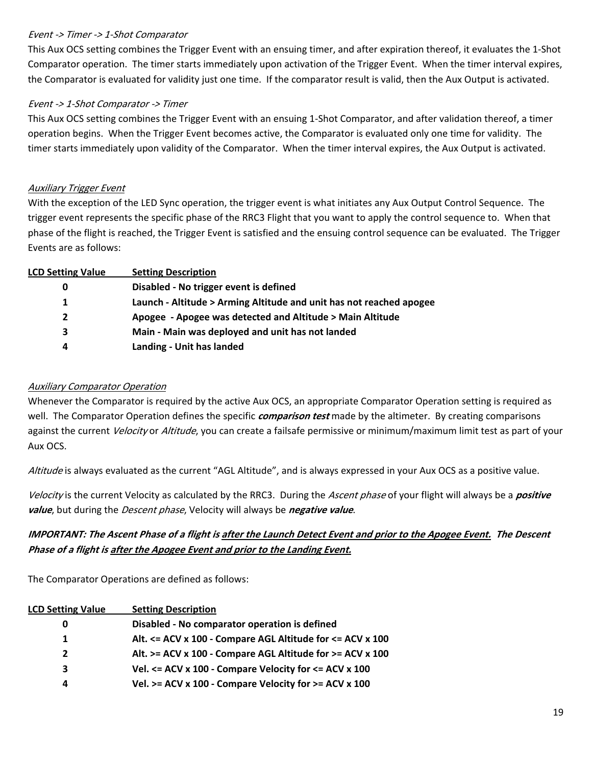#### Event ‐<sup>&</sup>gt; Timer ‐<sup>&</sup>gt; 1‐Shot Comparator

This Aux OCS setting combines the Trigger Event with an ensuing timer, and after expiration thereof, it evaluates the 1‐Shot Comparator operation. The timer starts immediately upon activation of the Trigger Event. When the timer interval expires, the Comparator is evaluated for validity just one time. If the comparator result is valid, then the Aux Output is activated.

### Event ‐<sup>&</sup>gt; 1‐Shot Comparator ‐<sup>&</sup>gt; Timer

This Aux OCS setting combines the Trigger Event with an ensuing 1‐Shot Comparator, and after validation thereof, a timer operation begins. When the Trigger Event becomes active, the Comparator is evaluated only one time for validity. The timer starts immediately upon validity of the Comparator. When the timer interval expires, the Aux Output is activated.

### Auxiliary Trigger Event

With the exception of the LED Sync operation, the trigger event is what initiates any Aux Output Control Sequence. The trigger event represents the specific phase of the RRC3 Flight that you want to apply the control sequence to. When that phase of the flight is reached, the Trigger Event is satisfied and the ensuing control sequence can be evaluated. The Trigger Events are as follows:

| <b>LCD Setting Value</b> | <b>Setting Description</b>                                          |
|--------------------------|---------------------------------------------------------------------|
| 0                        | Disabled - No trigger event is defined                              |
| 1                        | Launch - Altitude > Arming Altitude and unit has not reached apogee |
| $\mathbf{2}$             | Apogee - Apogee was detected and Altitude > Main Altitude           |
| 3                        | Main - Main was deployed and unit has not landed                    |
| 4                        | Landing - Unit has landed                                           |

### Auxiliary Comparator Operation

Whenever the Comparator is required by the active Aux OCS, an appropriate Comparator Operation setting is required as well. The Comparator Operation defines the specific **comparison test** made by the altimeter. By creating comparisons against the current *Velocity* or *Altitude*, you can create a failsafe permissive or minimum/maximum limit test as part of your Aux OCS.

Altitude is always evaluated as the current "AGL Altitude", and is always expressed in your Aux OCS as a positive value.

Velocity is the current Velocity as calculated by the RRC3. During the Ascent phase of your flight will always be a **positive value**, but during the Descent phase, Velocity will always be **negative value**.

# IMPORTANT: The Ascent Phase of a flight is after the Launch Detect Event and prior to the Apogee Event. The Descent **Phase of <sup>a</sup> flight is after the Apogee Event and prior to the Landing Event.**

The Comparator Operations are defined as follows:

| <b>LCD Setting Value</b> | <b>Setting Description</b>                                    |
|--------------------------|---------------------------------------------------------------|
| 0                        | Disabled - No comparator operation is defined                 |
| 1.                       | Alt. <= ACV x 100 - Compare AGL Altitude for <= ACV x 100     |
| $2^{\circ}$              | Alt. >= ACV x 100 - Compare AGL Altitude for >= ACV x 100     |
| 3                        | Vel. $\leq$ ACV x 100 - Compare Velocity for $\leq$ ACV x 100 |
| 4                        | Vel. $>=$ ACV x 100 - Compare Velocity for $>=$ ACV x 100     |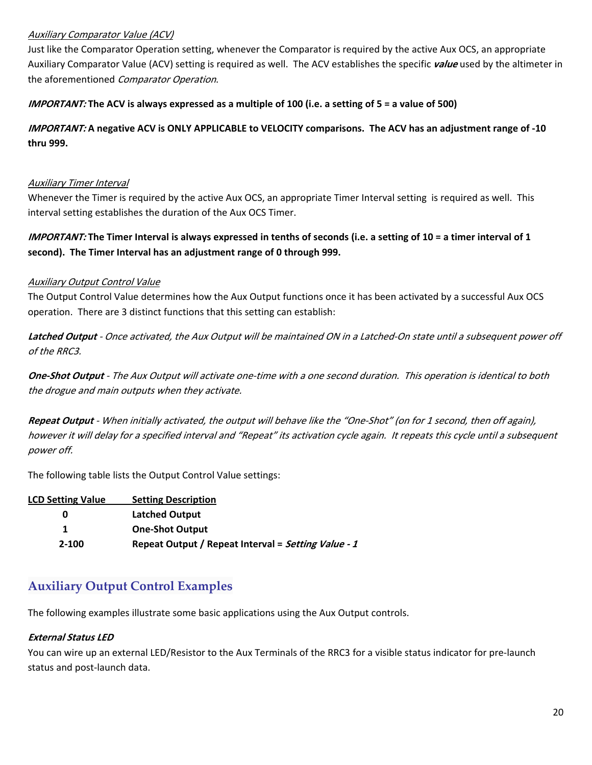### Auxiliary Comparator Value (ACV)

Just like the Comparator Operation setting, whenever the Comparator is required by the active Aux OCS, an appropriate Auxiliary Comparator Value (ACV) setting is required as well. The ACV establishes the specific **value** used by the altimeter in the aforementioned Comparator Operation.

#### IMPORTANT: The ACV is always expressed as a multiple of 100 (i.e. a setting of 5 = a value of 500)

# IMPORTANT: A negative ACV is ONLY APPLICABLE to VELOCITY comparisons. The ACV has an adjustment range of -10 **thru 999.**

#### Auxiliary Timer Interval

Whenever the Timer is required by the active Aux OCS, an appropriate Timer Interval setting is required as well. This interval setting establishes the duration of the Aux OCS Timer.

# IMPORTANT: The Timer Interval is always expressed in tenths of seconds (i.e. a setting of 10 = a timer interval of 1 **second). The Timer Interval has an adjustment range of 0 through 999.**

#### Auxiliary Output Control Value

The Output Control Value determines how the Aux Output functions once it has been activated by a successful Aux OCS operation. There are 3 distinct functions that this setting can establish:

**Latched Output** ‐ Once activated, the Aux Output will be maintained ON in <sup>a</sup> Latched‐On state until <sup>a</sup> subsequent power off of the RRC3.

**One‐Shot Output** ‐ The Aux Output will activate one‐time with <sup>a</sup> one second duration. This operation is identical to both the drogue and main outputs when they activate.

**Repeat Output** ‐ When initially activated, the output will behave like the "One‐Shot" (on for 1 second, then off again), however it will delay for <sup>a</sup> specified interval and "Repeat" its activation cycle again. It repeats this cycle until <sup>a</sup> subsequent power off.

The following table lists the Output Control Value settings:

| <b>LCD Setting Value</b> | <b>Setting Description</b>                          |
|--------------------------|-----------------------------------------------------|
| 0                        | <b>Latched Output</b>                               |
|                          | <b>One-Shot Output</b>                              |
| $2 - 100$                | Repeat Output / Repeat Interval = Setting Value - 1 |

# **Auxiliary Output Control Examples**

The following examples illustrate some basic applications using the Aux Output controls.

#### **External Status LED**

You can wire up an external LED/Resistor to the Aux Terminals of the RRC3 for a visible status indicator for pre‐launch status and post‐launch data.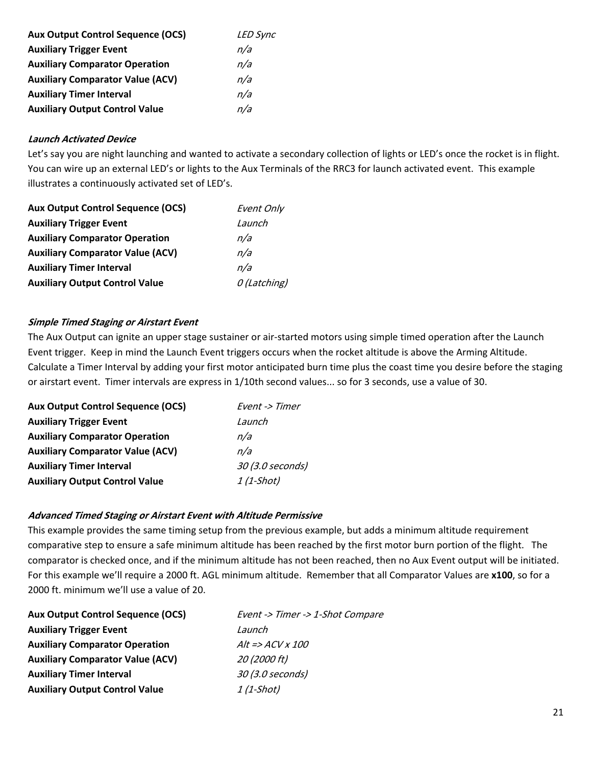| <b>Aux Output Control Sequence (OCS)</b> | <b>LED Sync</b> |
|------------------------------------------|-----------------|
| <b>Auxiliary Trigger Event</b>           | n/a             |
| <b>Auxiliary Comparator Operation</b>    | n/a             |
| <b>Auxiliary Comparator Value (ACV)</b>  | n/a             |
| <b>Auxiliary Timer Interval</b>          | n/a             |
| <b>Auxiliary Output Control Value</b>    | n/a             |

#### **Launch Activated Device**

Let's say you are night launching and wanted to activate a secondary collection of lights or LED's once the rocket is in flight. You can wire up an external LED's or lights to the Aux Terminals of the RRC3 for launch activated event. This example illustrates a continuously activated set of LED's.

| <b>Aux Output Control Sequence (OCS)</b> | Event Only  |
|------------------------------------------|-------------|
| <b>Auxiliary Trigger Event</b>           | Launch      |
| <b>Auxiliary Comparator Operation</b>    | n/a         |
| <b>Auxiliary Comparator Value (ACV)</b>  | n/a         |
| <b>Auxiliary Timer Interval</b>          | n/a         |
| <b>Auxiliary Output Control Value</b>    | 0(Latching) |

#### **Simple Timed Staging or Airstart Event**

The Aux Output can ignite an upper stage sustainer or air‐started motors using simple timed operation after the Launch Event trigger. Keep in mind the Launch Event triggers occurs when the rocket altitude is above the Arming Altitude. Calculate a Timer Interval by adding your first motor anticipated burn time plus the coast time you desire before the staging or airstart event. Timer intervals are express in 1/10th second values... so for 3 seconds, use a value of 30.

| <b>Aux Output Control Sequence (OCS)</b> | Event -> Timer   |
|------------------------------------------|------------------|
| <b>Auxiliary Trigger Event</b>           | Launch           |
| <b>Auxiliary Comparator Operation</b>    | n/a              |
| <b>Auxiliary Comparator Value (ACV)</b>  | n/a              |
| <b>Auxiliary Timer Interval</b>          | 30 (3.0 seconds) |
| <b>Auxiliary Output Control Value</b>    | 1 (1-Shot)       |

#### **Advanced Timed Staging or Airstart Event with Altitude Permissive**

This example provides the same timing setup from the previous example, but adds a minimum altitude requirement comparative step to ensure a safe minimum altitude has been reached by the first motor burn portion of the flight. The comparator is checked once, and if the minimum altitude has not been reached, then no Aux Event output will be initiated. For this example we'll require a 2000 ft. AGL minimum altitude. Remember that all Comparator Values are **x100**, so for a 2000 ft. minimum we'll use a value of 20.

| <b>Aux Output Control Sequence (OCS)</b> | Event -> Timer -> 1-Shot Compare |
|------------------------------------------|----------------------------------|
| <b>Auxiliary Trigger Event</b>           | Launch                           |
| <b>Auxiliary Comparator Operation</b>    | $Alt = > ACV \times 100$         |
| <b>Auxiliary Comparator Value (ACV)</b>  | 20 (2000 ft)                     |
| <b>Auxiliary Timer Interval</b>          | 30 (3.0 seconds)                 |
| <b>Auxiliary Output Control Value</b>    | 1 (1-Shot)                       |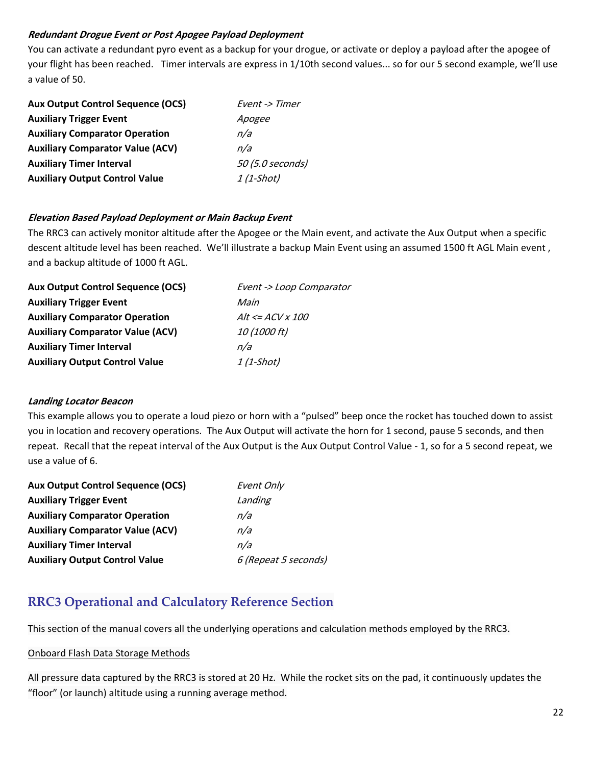### **Redundant Drogue Event or Post Apogee Payload Deployment**

You can activate a redundant pyro event as a backup for your drogue, or activate or deploy a payload after the apogee of your flight has been reached. Timer intervals are express in 1/10th second values... so for our 5 second example, we'll use a value of 50.

| <b>Aux Output Control Sequence (OCS)</b> | Event -> Timer   |
|------------------------------------------|------------------|
| <b>Auxiliary Trigger Event</b>           | Apogee           |
| <b>Auxiliary Comparator Operation</b>    | n/a              |
| <b>Auxiliary Comparator Value (ACV)</b>  | n/a              |
| <b>Auxiliary Timer Interval</b>          | 50 (5.0 seconds) |
| <b>Auxiliary Output Control Value</b>    | 1 (1-Shot)       |

## **Elevation Based Payload Deployment or Main Backup Event**

The RRC3 can actively monitor altitude after the Apogee or the Main event, and activate the Aux Output when a specific descent altitude level has been reached. We'll illustrate a backup Main Event using an assumed 1500 ft AGL Main event , and a backup altitude of 1000 ft AGL.

| <b>Aux Output Control Sequence (OCS)</b> | Event -> Loop Comparator |
|------------------------------------------|--------------------------|
| <b>Auxiliary Trigger Event</b>           | Main                     |
| <b>Auxiliary Comparator Operation</b>    | $Alt \le ACV \times 100$ |
| <b>Auxiliary Comparator Value (ACV)</b>  | 10 (1000 ft)             |
| <b>Auxiliary Timer Interval</b>          | n/a                      |
| <b>Auxiliary Output Control Value</b>    | $1(1-Short)$             |
|                                          |                          |

### **Landing Locator Beacon**

This example allows you to operate a loud piezo or horn with a "pulsed" beep once the rocket has touched down to assist you in location and recovery operations. The Aux Output will activate the horn for 1 second, pause 5 seconds, and then repeat. Recall that the repeat interval of the Aux Output is the Aux Output Control Value ‐ 1, so for a 5 second repeat, we use a value of 6.

| <b>Aux Output Control Sequence (OCS)</b> | Event Only           |
|------------------------------------------|----------------------|
| <b>Auxiliary Trigger Event</b>           | Landing              |
| <b>Auxiliary Comparator Operation</b>    | n/a                  |
| <b>Auxiliary Comparator Value (ACV)</b>  | n/a                  |
| <b>Auxiliary Timer Interval</b>          | n/a                  |
| <b>Auxiliary Output Control Value</b>    | 6 (Repeat 5 seconds) |

# **RRC3 Operational and Calculatory Reference Section**

This section of the manual covers all the underlying operations and calculation methods employed by the RRC3.

# Onboard Flash Data Storage Methods

All pressure data captured by the RRC3 is stored at 20 Hz. While the rocket sits on the pad, it continuously updates the "floor" (or launch) altitude using a running average method.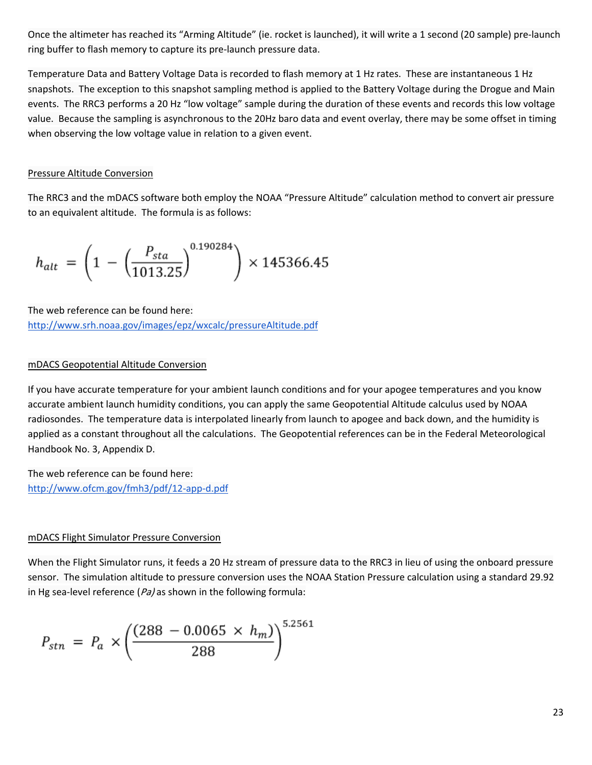Once the altimeter has reached its "Arming Altitude" (ie. rocket is launched), it will write a 1 second (20 sample) pre‐launch ring buffer to flash memory to capture its pre‐launch pressure data.

Temperature Data and Battery Voltage Data is recorded to flash memory at 1 Hz rates. These are instantaneous 1 Hz snapshots. The exception to this snapshot sampling method is applied to the Battery Voltage during the Drogue and Main events. The RRC3 performs a 20 Hz "low voltage" sample during the duration of these events and records this low voltage value. Because the sampling is asynchronous to the 20Hz baro data and event overlay, there may be some offset in timing when observing the low voltage value in relation to a given event.

#### Pressure Altitude Conversion

The RRC3 and the mDACS software both employ the NOAA "Pressure Altitude" calculation method to convert air pressure to an equivalent altitude. The formula is as follows:

$$
h_{alt} = \left(1 - \left(\frac{P_{sta}}{1013.25}\right)^{0.190284}\right) \times 145366.45
$$

The web reference can be found here:

http://www.srh.noaa.gov/images/epz/wxcalc/pressureAltitude.pdf

#### mDACS Geopotential Altitude Conversion

If you have accurate temperature for your ambient launch conditions and for your apogee temperatures and you know accurate ambient launch humidity conditions, you can apply the same Geopotential Altitude calculus used by NOAA radiosondes. The temperature data is interpolated linearly from launch to apogee and back down, and the humidity is applied as a constant throughout all the calculations. The Geopotential references can be in the Federal Meteorological Handbook No. 3, Appendix D.

The web reference can be found here: http://www.ofcm.gov/fmh3/pdf/12‐app‐d.pdf

#### mDACS Flight Simulator Pressure Conversion

When the Flight Simulator runs, it feeds a 20 Hz stream of pressure data to the RRC3 in lieu of using the onboard pressure sensor. The simulation altitude to pressure conversion uses the NOAA Station Pressure calculation using a standard 29.92 in Hg sea-level reference ( $Pa$ ) as shown in the following formula:

$$
P_{stn} = P_a \times \left(\frac{(288 - 0.0065 \times h_m)}{288}\right)^{5.2561}
$$